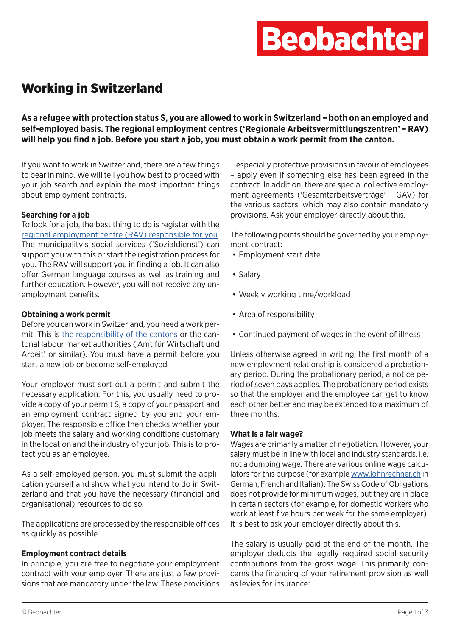# **Beobachter**

# Working in Switzerland

**As a refugee with protection status S, you are allowed to work in Switzerland – both on an employed and self-employed basis. The regional employment centres ('Regionale Arbeitsvermittlungszentren' – RAV) will help you find a job. Before you start a job, you must obtain a work permit from the canton.** 

If you want to work in Switzerland, there are a few things to bear in mind. We will tell you how best to proceed with your job search and explain the most important things about employment contracts.

# **Searching for a job**

To look for a job, the best thing to do is register with the [regional employment centre \(RAV\) responsible for you](https://www.arbeit.swiss/secoalv/en/home/menue/institutionen-medien/adressen---kontakte.html). The municipality's social services ('Sozialdienst') can support you with this or start the registration process for you. The RAV will support you in finding a job. It can also offer German language courses as well as training and further education. However, you will not receive any unemployment benefits.

### **Obtaining a work permit**

Before you can work in Switzerland, you need a work permit. This is [the responsibility of the cantons](https://www.sem.admin.ch/sem/en/home/sem/kontakt/kantonale_behoerden/adressen_kantone_und.html) or the cantonal labour market authorities ('Amt für Wirtschaft und Arbeit' or similar). You must have a permit before you start a new job or become self-employed.

Your employer must sort out a permit and submit the necessary application. For this, you usually need to provide a copy of your permit S, a copy of your passport and an employment contract signed by you and your employer. The responsible office then checks whether your job meets the salary and working conditions customary in the location and the industry of your job. This is to protect you as an employee.

As a self-employed person, you must submit the application yourself and show what you intend to do in Switzerland and that you have the necessary (financial and organisational) resources to do so.

The applications are processed by the responsible offices as quickly as possible.

### **Employment contract details**

In principle, you are free to negotiate your employment contract with your employer. There are just a few provisions that are mandatory under the law. These provisions

– especially protective provisions in favour of employees – apply even if something else has been agreed in the contract. In addition, there are special collective employment agreements ('Gesamtarbeitsverträge' – GAV) for the various sectors, which may also contain mandatory provisions. Ask your employer directly about this.

The following points should be governed by your employment contract:

- Employment start date
- Salary
- Weekly working time/workload
- Area of responsibility
- Continued payment of wages in the event of illness

Unless otherwise agreed in writing, the first month of a new employment relationship is considered a probationary period. During the probationary period, a notice period of seven days applies. The probationary period exists so that the employer and the employee can get to know each other better and may be extended to a maximum of three months.

### **What is a fair wage?**

Wages are primarily a matter of negotiation. However, your salary must be in line with local and industry standards, i.e. not a dumping wage. There are various online wage calculators for this purpose (for example [www.lohnrechner.ch](https://www.lohnrechner.ch/) in German, French and Italian). The Swiss Code of Obligations does not provide for minimum wages, but they are in place in certain sectors (for example, for domestic workers who work at least five hours per week for the same employer). It is best to ask your employer directly about this.

The salary is usually paid at the end of the month. The employer deducts the legally required social security contributions from the gross wage. This primarily concerns the financing of your retirement provision as well as levies for insurance: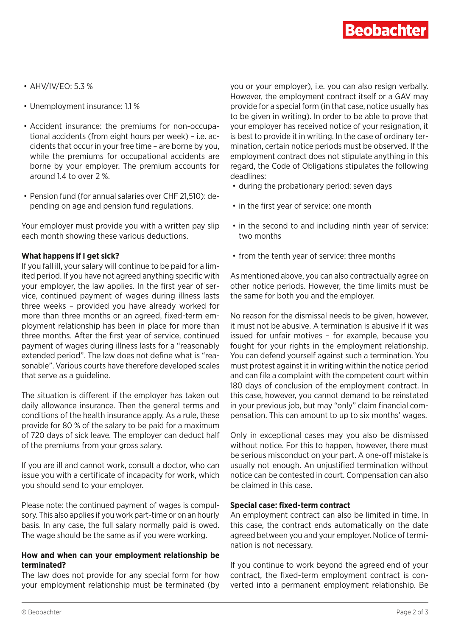

- AHV/IV/EO: 5.3 %
- Unemployment insurance: 1.1 %
- Accident insurance: the premiums for non-occupational accidents (from eight hours per week) – i.e. accidents that occur in your free time – are borne by you, while the premiums for occupational accidents are borne by your employer. The premium accounts for around 1.4 to over 2 %.
- Pension fund (for annual salaries over CHF 21,510): depending on age and pension fund regulations.

Your employer must provide you with a written pay slip each month showing these various deductions.

#### **What happens if I get sick?**

If you fall ill, your salary will continue to be paid for a limited period. If you have not agreed anything specific with your employer, the law applies. In the first year of service, continued payment of wages during illness lasts three weeks – provided you have already worked for more than three months or an agreed, fixed-term employment relationship has been in place for more than three months. After the first year of service, continued payment of wages during illness lasts for a "reasonably extended period". The law does not define what is "reasonable". Various courts have therefore developed scales that serve as a guideline.

The situation is different if the employer has taken out daily allowance insurance. Then the general terms and conditions of the health insurance apply. As a rule, these provide for 80 % of the salary to be paid for a maximum of 720 days of sick leave. The employer can deduct half of the premiums from your gross salary.

If you are ill and cannot work, consult a doctor, who can issue you with a certificate of incapacity for work, which you should send to your employer.

Please note: the continued payment of wages is compulsory. This also applies if you work part-time or on an hourly basis. In any case, the full salary normally paid is owed. The wage should be the same as if you were working.

#### **How and when can your employment relationship be terminated?**

The law does not provide for any special form for how your employment relationship must be terminated (by you or your employer), i.e. you can also resign verbally. However, the employment contract itself or a GAV may provide for a special form (in that case, notice usually has to be given in writing). In order to be able to prove that your employer has received notice of your resignation, it is best to provide it in writing. In the case of ordinary termination, certain notice periods must be observed. If the employment contract does not stipulate anything in this regard, the Code of Obligations stipulates the following deadlines:

- during the probationary period: seven days
- in the first year of service: one month
- in the second to and including ninth year of service: two months
- from the tenth year of service: three months

As mentioned above, you can also contractually agree on other notice periods. However, the time limits must be the same for both you and the employer.

No reason for the dismissal needs to be given, however, it must not be abusive. A termination is abusive if it was issued for unfair motives – for example, because you fought for your rights in the employment relationship. You can defend yourself against such a termination. You must protest against it in writing within the notice period and can file a complaint with the competent court within 180 days of conclusion of the employment contract. In this case, however, you cannot demand to be reinstated in your previous job, but may "only" claim financial compensation. This can amount to up to six months' wages.

Only in exceptional cases may you also be dismissed without notice. For this to happen, however, there must be serious misconduct on your part. A one-off mistake is usually not enough. An unjustified termination without notice can be contested in court. Compensation can also be claimed in this case.

#### **Special case: fixed-term contract**

An employment contract can also be limited in time. In this case, the contract ends automatically on the date agreed between you and your employer. Notice of termination is not necessary.

If you continue to work beyond the agreed end of your contract, the fixed-term employment contract is converted into a permanent employment relationship. Be